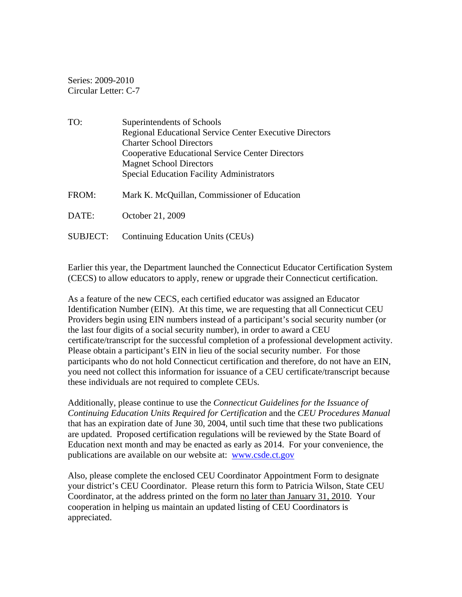Series: 2009-2010 Circular Letter: C-7

| TO:             | Superintendents of Schools                                     |  |  |
|-----------------|----------------------------------------------------------------|--|--|
|                 | <b>Regional Educational Service Center Executive Directors</b> |  |  |
|                 | <b>Charter School Directors</b>                                |  |  |
|                 | <b>Cooperative Educational Service Center Directors</b>        |  |  |
|                 | <b>Magnet School Directors</b>                                 |  |  |
|                 | <b>Special Education Facility Administrators</b>               |  |  |
|                 |                                                                |  |  |
| FROM:           | Mark K. McQuillan, Commissioner of Education                   |  |  |
|                 |                                                                |  |  |
| DATE:           | October 21, 2009                                               |  |  |
|                 |                                                                |  |  |
| <b>SUBJECT:</b> | Continuing Education Units (CEUs)                              |  |  |

Earlier this year, the Department launched the Connecticut Educator Certification System (CECS) to allow educators to apply, renew or upgrade their Connecticut certification.

As a feature of the new CECS, each certified educator was assigned an Educator Identification Number (EIN). At this time, we are requesting that all Connecticut CEU Providers begin using EIN numbers instead of a participant's social security number (or the last four digits of a social security number), in order to award a CEU certificate/transcript for the successful completion of a professional development activity. Please obtain a participant's EIN in lieu of the social security number. For those participants who do not hold Connecticut certification and therefore, do not have an EIN, you need not collect this information for issuance of a CEU certificate/transcript because these individuals are not required to complete CEUs.

Additionally, please continue to use the *Connecticut Guidelines for the Issuance of Continuing Education Units Required for Certification* and the *CEU Procedures Manual* that has an expiration date of June 30, 2004, until such time that these two publications are updated. Proposed certification regulations will be reviewed by the State Board of Education next month and may be enacted as early as 2014. For your convenience, the publications are available on our website at: www.csde.ct.gov

Also, please complete the enclosed CEU Coordinator Appointment Form to designate your district's CEU Coordinator. Please return this form to Patricia Wilson, State CEU Coordinator, at the address printed on the form no later than January 31, 2010. Your cooperation in helping us maintain an updated listing of CEU Coordinators is appreciated.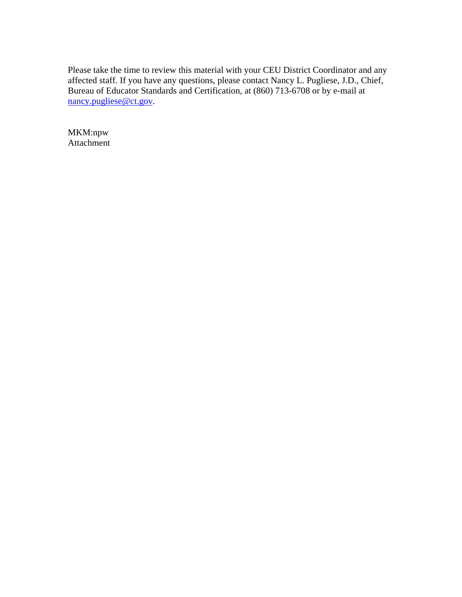Please take the time to review this material with your CEU District Coordinator and any affected staff. If you have any questions, please contact Nancy L. Pugliese, J.D., Chief, Bureau of Educator Standards and Certification, at (860) 713-6708 or by e-mail at nancy.pugliese@ct.gov.

MKM:npw Attachment